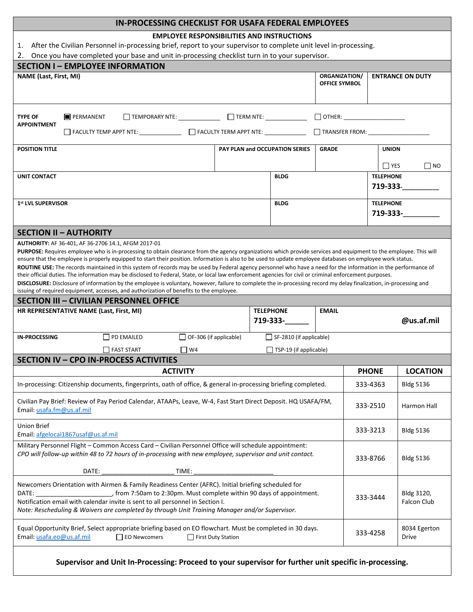**Supervisor and Unit In-Processing: Proceed to your supervisor for further unit specific in-processing.**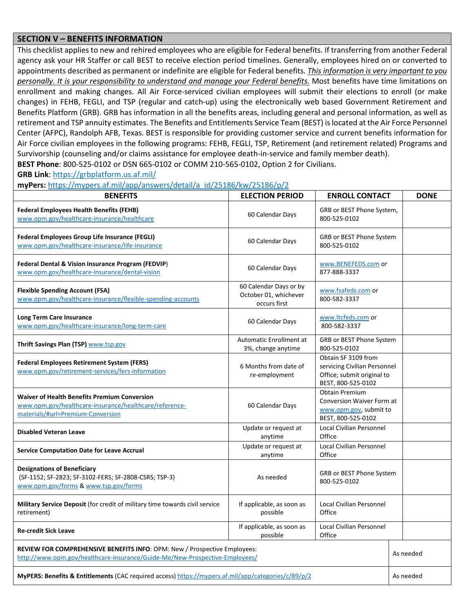## **SECTION V – BENEFITS INFORMATION**

This checklist applies to new and rehired employees who are eligible for Federal benefits. If transferring from another Federal agency ask your HR Staffer or call BEST to receive election period timelines. Generally, employees hired on or converted to appointments described as permanent or indefinite are eligible for Federal benefits. *This information is very important to you personally. It is your responsibility to understand and manage your Federal benefits.* Most benefits have time limitations on enrollment and making changes. All Air Force-serviced civilian employees will submit their elections to enroll (or make changes) in FEHB, FEGLI, and TSP (regular and catch-up) using the electronically web based Government Retirement and Benefits Platform (GRB). GRB has information in all the benefits areas, including general and personal information, as well as retirement and TSP annuity estimates. The Benefits and Entitlements Service Team (BEST) is located at the Air Force Personnel Center (AFPC), Randolph AFB, Texas. BEST is responsible for providing customer service and current benefits information for Air Force civilian employees in the following programs: FEHB, FEGLI, TSP, Retirement (and retirement related) Programs and Survivorship (counseling and/or claims assistance for employee death-in-service and family member death).

**BEST Phone**: 800-525-0102 or DSN 665-0102 or COMM 210-565-0102, Option 2 for Civilians.

## **GRB Link**: https://grbplatform.us.af.mil/

**myPers:** https://mypers.af.mil/app/answers/detail/a\_id/25186/kw/25186/p/2

| <b>BENEFITS</b>                                                                                                                                          | <b>ELECTION PERIOD</b>                                                      | <b>ENROLL CONTACT</b><br><b>DONE</b>                                                                    |           |
|----------------------------------------------------------------------------------------------------------------------------------------------------------|-----------------------------------------------------------------------------|---------------------------------------------------------------------------------------------------------|-----------|
| <b>Federal Employees Health Benefits (FEHB)</b><br>www.opm.gov/healthcare-insurance/healthcare                                                           | 60 Calendar Days                                                            | GRB or BEST Phone System,<br>800-525-0102                                                               |           |
| Federal Employees Group Life Insurance (FEGLI)<br>www.opm.gov/healthcare-insurance/life-insurance                                                        | 60 Calendar Days                                                            | GRB or BEST Phone System<br>800-525-0102                                                                |           |
| Federal Dental & Vision Insurance Program (FEDVIP)<br>www.opm.gov/healthcare-insurance/dental-vision                                                     | 60 Calendar Days                                                            | www.BENEFEDS.com or<br>877-888-3337                                                                     |           |
| <b>Flexible Spending Account (FSA)</b><br>www.opm.gov/healthcare-insurance/flexible-spending-accounts                                                    | 60 Calendar Days or by<br>October 01, whichever<br>occurs first             | www.fsafeds.com or<br>800-582-3337                                                                      |           |
| Long Term Care Insurance<br>www.opm.gov/healthcare-insurance/long-term-care                                                                              | 60 Calendar Days                                                            | www.ltcfeds.com or<br>800-582-3337                                                                      |           |
| Thrift Savings Plan (TSP) www.tsp.gov                                                                                                                    | Automatic Enrollment at<br>3%, change anytime                               | GRB or BEST Phone System<br>800-525-0102                                                                |           |
| <b>Federal Employees Retirement System (FERS)</b><br>www.opm.gov/retirement-services/fers-information                                                    | 6 Months from date of<br>re-employment                                      | Obtain SF 3109 from<br>servicing Civilian Personnel<br>Office; submit original to<br>BEST, 800-525-0102 |           |
| <b>Waiver of Health Benefits Premium Conversion</b><br>www.opm.gov/healthcare-insurance/healthcare/reference-<br>materials/#url=Premium-Conversion       | 60 Calendar Days                                                            | <b>Obtain Premium</b><br>Conversion Waiver Form at<br>www.opm.gov, submit to<br>BEST, 800-525-0102      |           |
| <b>Disabled Veteran Leave</b>                                                                                                                            | Update or request at<br>anytime                                             | <b>Local Civilian Personnel</b><br>Office                                                               |           |
| <b>Service Computation Date for Leave Accrual</b>                                                                                                        | Update or request at<br>anytime                                             | <b>Local Civilian Personnel</b><br>Office                                                               |           |
| <b>Designations of Beneficiary</b><br>(SF-1152; SF-2823; SF-3102-FERS; SF-2808-CSRS; TSP-3)<br>www.opm.gov/forms & www.tsp.gov/forms                     | As needed                                                                   | GRB or BEST Phone System<br>800-525-0102                                                                |           |
| Military Service Deposit (for credit of military time towards civil service<br>retirement)                                                               | If applicable, as soon as<br>possible                                       | <b>Local Civilian Personnel</b><br>Office                                                               |           |
| <b>Re-credit Sick Leave</b>                                                                                                                              | If applicable, as soon as<br>Local Civilian Personnel<br>Office<br>possible |                                                                                                         |           |
| REVIEW FOR COMPREHENSIVE BENEFITS INFO: OPM: New / Prospective Employees:<br>http://www.opm.gov/healthcare-insurance/Guide-Me/New-Prospective-Employees/ |                                                                             |                                                                                                         | As needed |
| MyPERS: Benefits & Entitlements (CAC required access) https://mypers.af.mil/app/categories/c/89/p/2                                                      |                                                                             |                                                                                                         | As needed |